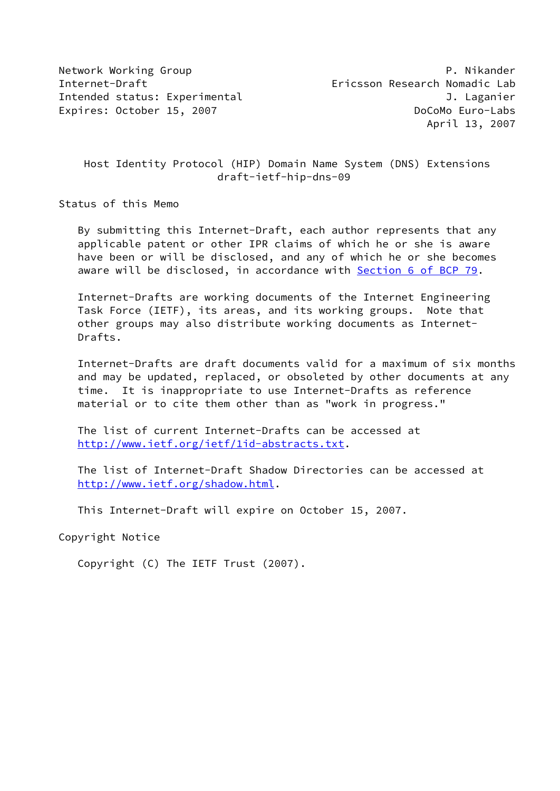Host Identity Protocol (HIP) Domain Name System (DNS) Extensions draft-ietf-hip-dns-09

Status of this Memo

 By submitting this Internet-Draft, each author represents that any applicable patent or other IPR claims of which he or she is aware have been or will be disclosed, and any of which he or she becomes aware will be disclosed, in accordance with Section [6 of BCP 79.](https://datatracker.ietf.org/doc/pdf/bcp79#section-6)

 Internet-Drafts are working documents of the Internet Engineering Task Force (IETF), its areas, and its working groups. Note that other groups may also distribute working documents as Internet- Drafts.

 Internet-Drafts are draft documents valid for a maximum of six months and may be updated, replaced, or obsoleted by other documents at any time. It is inappropriate to use Internet-Drafts as reference material or to cite them other than as "work in progress."

 The list of current Internet-Drafts can be accessed at <http://www.ietf.org/ietf/1id-abstracts.txt>.

 The list of Internet-Draft Shadow Directories can be accessed at <http://www.ietf.org/shadow.html>.

This Internet-Draft will expire on October 15, 2007.

Copyright Notice

Copyright (C) The IETF Trust (2007).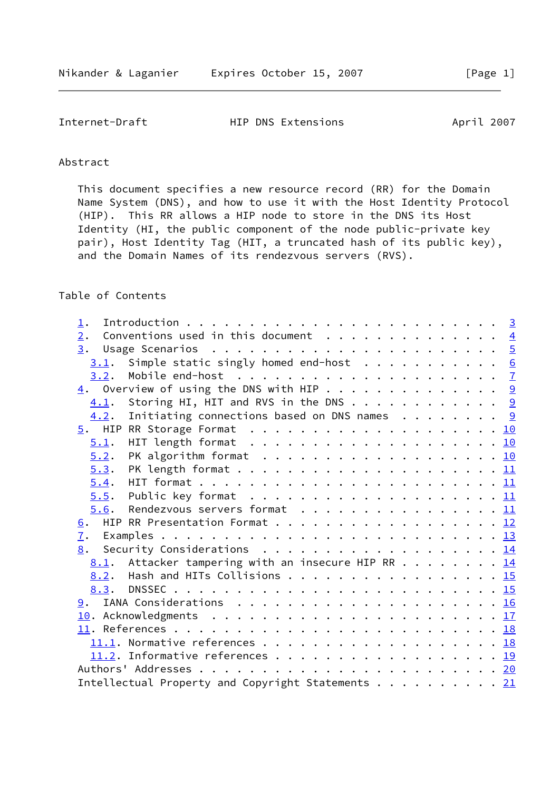Internet-Draft **HIP DNS Extensions** April 2007

# Abstract

 This document specifies a new resource record (RR) for the Domain Name System (DNS), and how to use it with the Host Identity Protocol (HIP). This RR allows a HIP node to store in the DNS its Host Identity (HI, the public component of the node public-private key pair), Host Identity Tag (HIT, a truncated hash of its public key), and the Domain Names of its rendezvous servers (RVS).

## Table of Contents

| 1.                                                                                            |  |
|-----------------------------------------------------------------------------------------------|--|
| Conventions used in this document $\,\cdot\,$ $\,\,$ 4<br>2.                                  |  |
|                                                                                               |  |
| Simple static singly homed end-host 6<br>3.1.                                                 |  |
| Mobile end-host $\ldots \ldots \ldots \ldots \ldots \ldots \ldots \ldots$<br>3.2.             |  |
| $\underline{4}$ . Overview of using the DNS with HIP 9                                        |  |
| Storing HI, HIT and RVS in the DNS 9<br>4.1.                                                  |  |
| Initiating connections based on DNS names $\cdots$ 9<br>4.2.                                  |  |
|                                                                                               |  |
| 5.1.                                                                                          |  |
| PK algorithm format $\ldots \ldots \ldots \ldots \ldots \ldots \ldots \underline{10}$<br>5.2. |  |
| 5.3.                                                                                          |  |
| 5.4.                                                                                          |  |
| 5.5.                                                                                          |  |
| Rendezvous servers format 11<br>5.6.                                                          |  |
| 6. HIP RR Presentation Format 12                                                              |  |
|                                                                                               |  |
| 8. Security Considerations 14                                                                 |  |
| <u>8.1</u> . Attacker tampering with an insecure HIP RR $\ldots$ 14                           |  |
| 8.2. Hash and HITs Collisions 15                                                              |  |
|                                                                                               |  |
|                                                                                               |  |
|                                                                                               |  |
|                                                                                               |  |
|                                                                                               |  |
|                                                                                               |  |
|                                                                                               |  |
| Intellectual Property and Copyright Statements 21                                             |  |
|                                                                                               |  |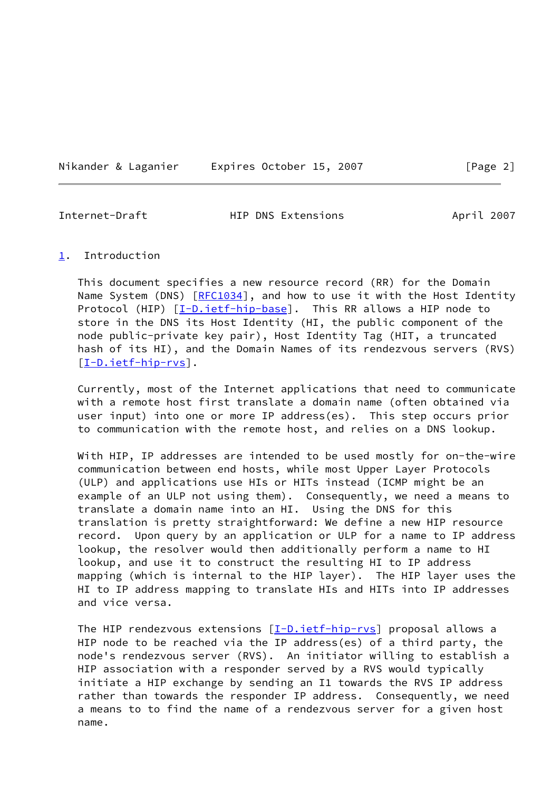| Expires October 15, 2007<br>Nikander & Laganier |  |  |
|-------------------------------------------------|--|--|
|-------------------------------------------------|--|--|

 $\lceil \text{Page 2} \rceil$ 

<span id="page-2-1"></span>Internet-Draft HIP DNS Extensions April 2007

### <span id="page-2-0"></span>[1](#page-2-0). Introduction

 This document specifies a new resource record (RR) for the Domain Name System (DNS) [[RFC1034](https://datatracker.ietf.org/doc/pdf/rfc1034)], and how to use it with the Host Identity Protocol (HIP) [\[I-D.ietf-hip-base](#page-20-2)]. This RR allows a HIP node to store in the DNS its Host Identity (HI, the public component of the node public-private key pair), Host Identity Tag (HIT, a truncated hash of its HI), and the Domain Names of its rendezvous servers (RVS) [\[I-D.ietf-hip-rvs](#page-20-3)].

 Currently, most of the Internet applications that need to communicate with a remote host first translate a domain name (often obtained via user input) into one or more IP address(es). This step occurs prior to communication with the remote host, and relies on a DNS lookup.

 With HIP, IP addresses are intended to be used mostly for on-the-wire communication between end hosts, while most Upper Layer Protocols (ULP) and applications use HIs or HITs instead (ICMP might be an example of an ULP not using them). Consequently, we need a means to translate a domain name into an HI. Using the DNS for this translation is pretty straightforward: We define a new HIP resource record. Upon query by an application or ULP for a name to IP address lookup, the resolver would then additionally perform a name to HI lookup, and use it to construct the resulting HI to IP address mapping (which is internal to the HIP layer). The HIP layer uses the HI to IP address mapping to translate HIs and HITs into IP addresses and vice versa.

The HIP rendezvous extensions [[I-D.ietf-hip-rvs\]](#page-20-3) proposal allows a HIP node to be reached via the IP address(es) of a third party, the node's rendezvous server (RVS). An initiator willing to establish a HIP association with a responder served by a RVS would typically initiate a HIP exchange by sending an I1 towards the RVS IP address rather than towards the responder IP address. Consequently, we need a means to to find the name of a rendezvous server for a given host name.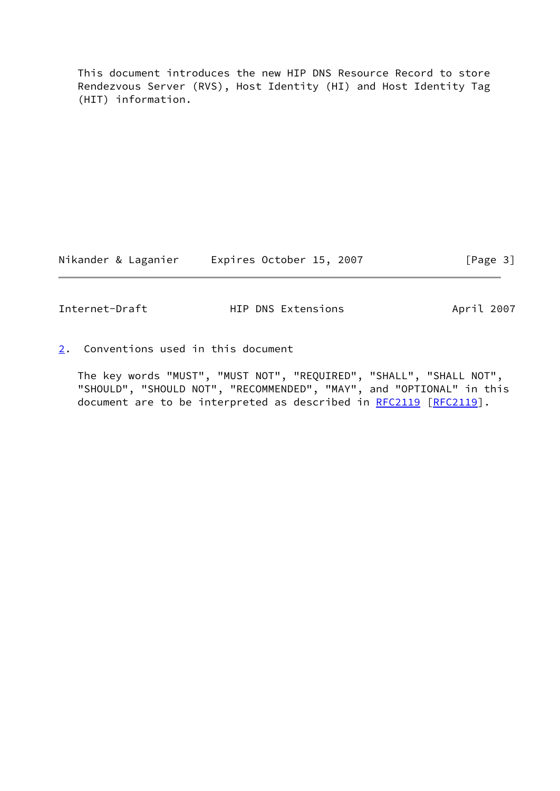This document introduces the new HIP DNS Resource Record to store Rendezvous Server (RVS), Host Identity (HI) and Host Identity Tag (HIT) information.

Nikander & Laganier Expires October 15, 2007 [Page 3]

<span id="page-3-1"></span>Internet-Draft HIP DNS Extensions April 2007

<span id="page-3-0"></span>[2](#page-3-0). Conventions used in this document

 The key words "MUST", "MUST NOT", "REQUIRED", "SHALL", "SHALL NOT", "SHOULD", "SHOULD NOT", "RECOMMENDED", "MAY", and "OPTIONAL" in this document are to be interpreted as described in [RFC2119](https://datatracker.ietf.org/doc/pdf/rfc2119) [\[RFC2119](https://datatracker.ietf.org/doc/pdf/rfc2119)].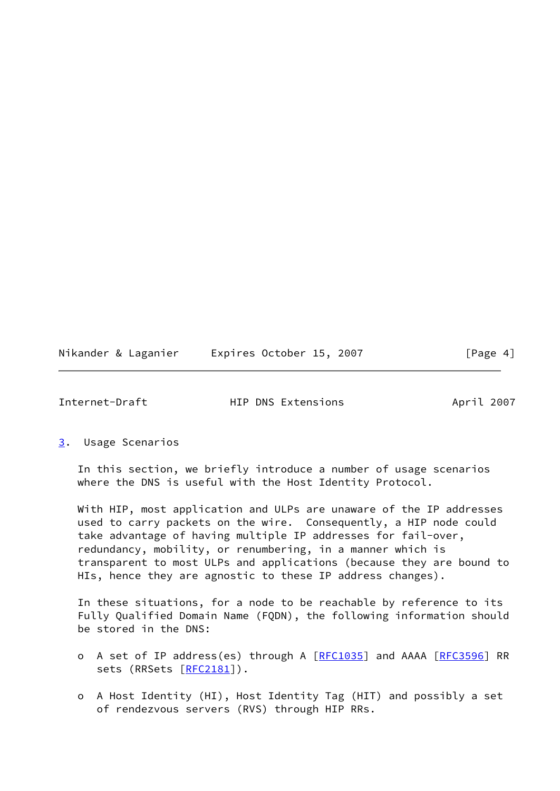| Nikander & Laganier | Expires October 15, 2007 | [Page 4] |
|---------------------|--------------------------|----------|
|---------------------|--------------------------|----------|

<span id="page-4-1"></span>

| Internet-Draft | HIP DNS Extensions | April 2007 |
|----------------|--------------------|------------|

<span id="page-4-0"></span>[3](#page-4-0). Usage Scenarios

 In this section, we briefly introduce a number of usage scenarios where the DNS is useful with the Host Identity Protocol.

 With HIP, most application and ULPs are unaware of the IP addresses used to carry packets on the wire. Consequently, a HIP node could take advantage of having multiple IP addresses for fail-over, redundancy, mobility, or renumbering, in a manner which is transparent to most ULPs and applications (because they are bound to HIs, hence they are agnostic to these IP address changes).

 In these situations, for a node to be reachable by reference to its Fully Qualified Domain Name (FQDN), the following information should be stored in the DNS:

- o A set of IP address(es) through A [\[RFC1035](https://datatracker.ietf.org/doc/pdf/rfc1035)] and AAAA [\[RFC3596](https://datatracker.ietf.org/doc/pdf/rfc3596)] RR sets (RRSets [\[RFC2181](https://datatracker.ietf.org/doc/pdf/rfc2181)]).
- o A Host Identity (HI), Host Identity Tag (HIT) and possibly a set of rendezvous servers (RVS) through HIP RRs.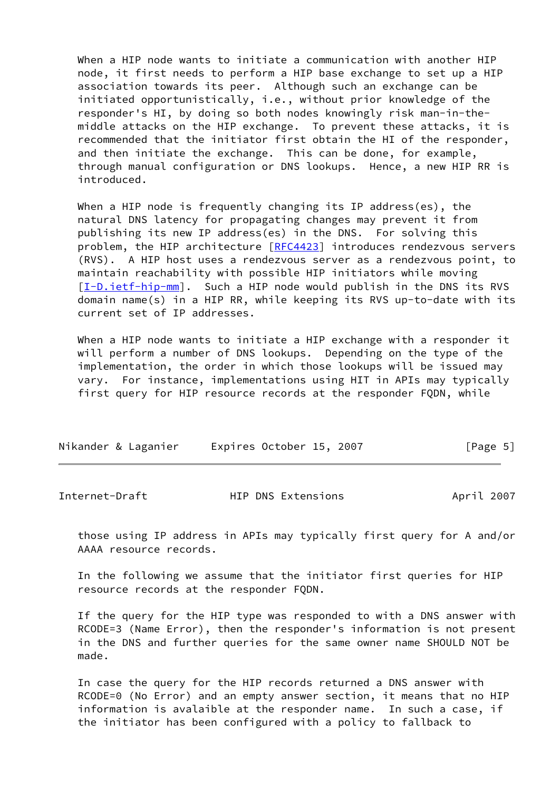When a HIP node wants to initiate a communication with another HIP node, it first needs to perform a HIP base exchange to set up a HIP association towards its peer. Although such an exchange can be initiated opportunistically, i.e., without prior knowledge of the responder's HI, by doing so both nodes knowingly risk man-in-the middle attacks on the HIP exchange. To prevent these attacks, it is recommended that the initiator first obtain the HI of the responder, and then initiate the exchange. This can be done, for example, through manual configuration or DNS lookups. Hence, a new HIP RR is introduced.

 When a HIP node is frequently changing its IP address(es), the natural DNS latency for propagating changes may prevent it from publishing its new IP address(es) in the DNS. For solving this problem, the HIP architecture [[RFC4423](https://datatracker.ietf.org/doc/pdf/rfc4423)] introduces rendezvous servers (RVS). A HIP host uses a rendezvous server as a rendezvous point, to maintain reachability with possible HIP initiators while moving [\[I-D.ietf-hip-mm](#page-20-4)]. Such a HIP node would publish in the DNS its RVS domain name(s) in a HIP RR, while keeping its RVS up-to-date with its current set of IP addresses.

 When a HIP node wants to initiate a HIP exchange with a responder it will perform a number of DNS lookups. Depending on the type of the implementation, the order in which those lookups will be issued may vary. For instance, implementations using HIT in APIs may typically first query for HIP resource records at the responder FQDN, while

| Nikander & Laganier | Expires October 15, 2007 | [Page 5] |
|---------------------|--------------------------|----------|
|---------------------|--------------------------|----------|

<span id="page-5-0"></span>

| Internet-Draft | HIP DNS Extensions | April 2007 |
|----------------|--------------------|------------|
|                |                    |            |

 those using IP address in APIs may typically first query for A and/or AAAA resource records.

 In the following we assume that the initiator first queries for HIP resource records at the responder FQDN.

 If the query for the HIP type was responded to with a DNS answer with RCODE=3 (Name Error), then the responder's information is not present in the DNS and further queries for the same owner name SHOULD NOT be made.

 In case the query for the HIP records returned a DNS answer with RCODE=0 (No Error) and an empty answer section, it means that no HIP information is avalaible at the responder name. In such a case, if the initiator has been configured with a policy to fallback to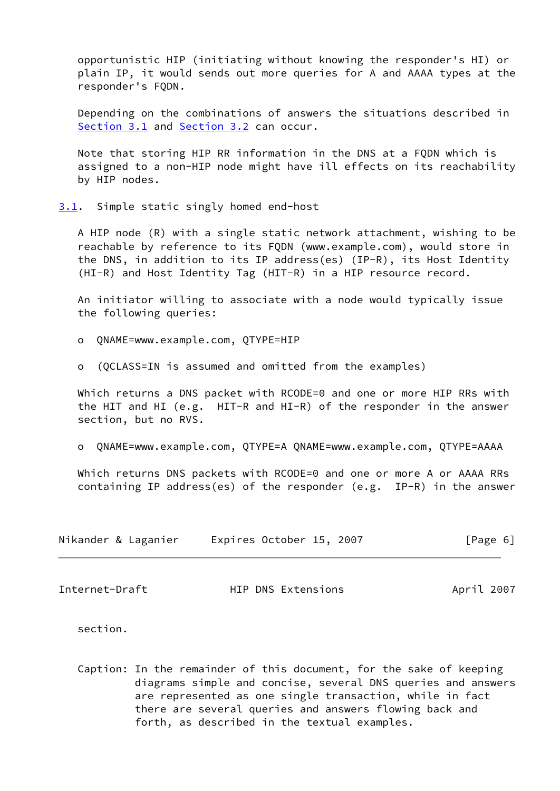opportunistic HIP (initiating without knowing the responder's HI) or plain IP, it would sends out more queries for A and AAAA types at the responder's FQDN.

 Depending on the combinations of answers the situations described in [Section 3.1](#page-6-0) and [Section 3.2](#page-7-0) can occur.

 Note that storing HIP RR information in the DNS at a FQDN which is assigned to a non-HIP node might have ill effects on its reachability by HIP nodes.

<span id="page-6-0"></span>[3.1](#page-6-0). Simple static singly homed end-host

 A HIP node (R) with a single static network attachment, wishing to be reachable by reference to its FQDN (www.example.com), would store in the DNS, in addition to its IP address(es) (IP-R), its Host Identity (HI-R) and Host Identity Tag (HIT-R) in a HIP resource record.

 An initiator willing to associate with a node would typically issue the following queries:

o QNAME=www.example.com, QTYPE=HIP

o (QCLASS=IN is assumed and omitted from the examples)

Which returns a DNS packet with RCODE=0 and one or more HIP RRs with the HIT and HI (e.g. HIT-R and HI-R) of the responder in the answer section, but no RVS.

o QNAME=www.example.com, QTYPE=A QNAME=www.example.com, QTYPE=AAAA

Which returns DNS packets with RCODE=0 and one or more A or AAAA RRs containing IP address(es) of the responder (e.g. IP-R) in the answer

|  |  | Nikander & Laganier | Expires October 15, 2007 |  |  |  | [Page 6] |  |
|--|--|---------------------|--------------------------|--|--|--|----------|--|
|--|--|---------------------|--------------------------|--|--|--|----------|--|

<span id="page-6-1"></span>Internet-Draft HIP DNS Extensions April 2007

section.

 Caption: In the remainder of this document, for the sake of keeping diagrams simple and concise, several DNS queries and answers are represented as one single transaction, while in fact there are several queries and answers flowing back and forth, as described in the textual examples.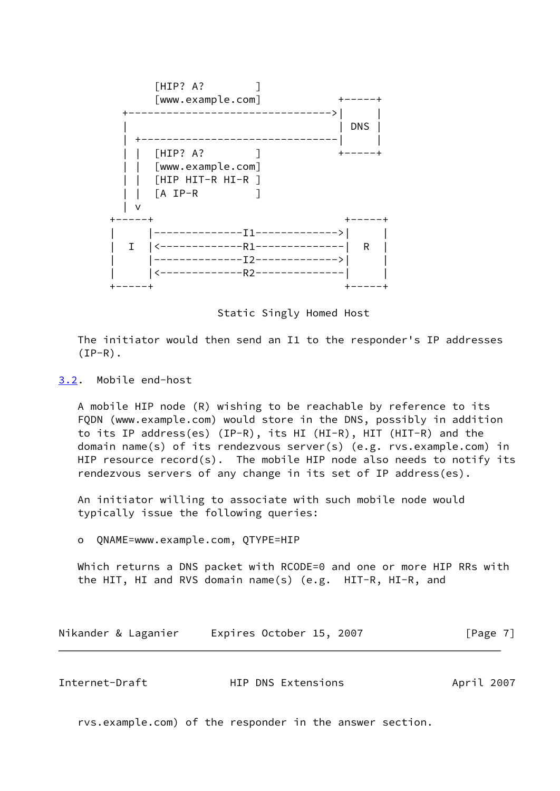

Static Singly Homed Host

 The initiator would then send an I1 to the responder's IP addresses  $(IP-R)$ .

<span id="page-7-0"></span>[3.2](#page-7-0). Mobile end-host

 A mobile HIP node (R) wishing to be reachable by reference to its FQDN (www.example.com) would store in the DNS, possibly in addition to its IP address(es) (IP-R), its HI (HI-R), HIT (HIT-R) and the domain name(s) of its rendezvous server(s) (e.g. rvs.example.com) in HIP resource record(s). The mobile HIP node also needs to notify its rendezvous servers of any change in its set of IP address(es).

 An initiator willing to associate with such mobile node would typically issue the following queries:

o QNAME=www.example.com, QTYPE=HIP

 Which returns a DNS packet with RCODE=0 and one or more HIP RRs with the HIT, HI and RVS domain name(s) (e.g. HIT-R, HI-R, and

| Nikander & Laganier | Expires October 15, 2007 | [Page 7] |
|---------------------|--------------------------|----------|
|---------------------|--------------------------|----------|

| Internet-Draft | HIP DNS Extensions | April 2007 |  |
|----------------|--------------------|------------|--|
|                |                    |            |  |

rvs.example.com) of the responder in the answer section.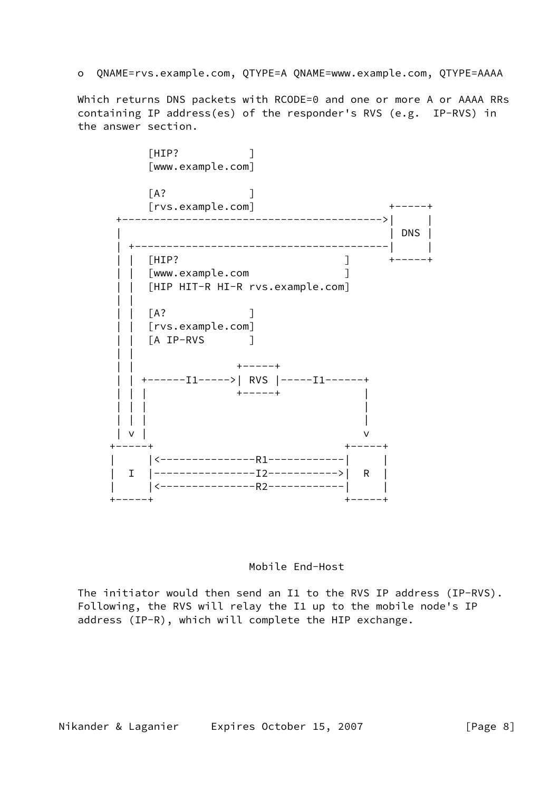o QNAME=rvs.example.com, QTYPE=A QNAME=www.example.com, QTYPE=AAAA

 Which returns DNS packets with RCODE=0 and one or more A or AAAA RRs containing IP address(es) of the responder's RVS (e.g. IP-RVS) in the answer section.





 The initiator would then send an I1 to the RVS IP address (IP-RVS). Following, the RVS will relay the I1 up to the mobile node's IP address (IP-R), which will complete the HIP exchange.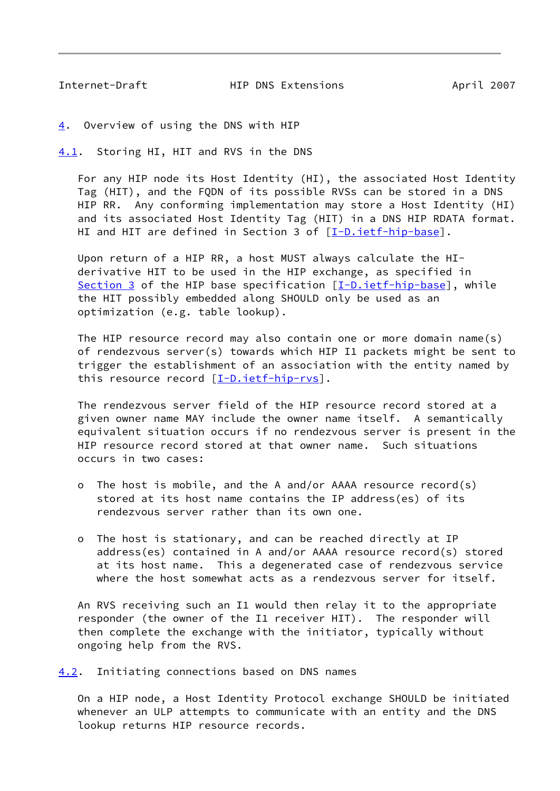<span id="page-9-1"></span>

Internet-Draft HIP DNS Extensions April 2007

<span id="page-9-0"></span>[4](#page-9-0). Overview of using the DNS with HIP

<span id="page-9-2"></span>[4.1](#page-9-2). Storing HI, HIT and RVS in the DNS

 For any HIP node its Host Identity (HI), the associated Host Identity Tag (HIT), and the FQDN of its possible RVSs can be stored in a DNS HIP RR. Any conforming implementation may store a Host Identity (HI) and its associated Host Identity Tag (HIT) in a DNS HIP RDATA format. HI and HIT are defined in Section 3 of [\[I-D.ietf-hip-base](#page-20-2)].

 Upon return of a HIP RR, a host MUST always calculate the HI derivative HIT to be used in the HIP exchange, as specified in [Section 3](#page-4-0) of the HIP base specification [\[I-D.ietf-hip-base](#page-20-2)], while the HIT possibly embedded along SHOULD only be used as an optimization (e.g. table lookup).

 The HIP resource record may also contain one or more domain name(s) of rendezvous server(s) towards which HIP I1 packets might be sent to trigger the establishment of an association with the entity named by this resource record  $[I-D.ietf-hip-rvs]$  $[I-D.ietf-hip-rvs]$ .

 The rendezvous server field of the HIP resource record stored at a given owner name MAY include the owner name itself. A semantically equivalent situation occurs if no rendezvous server is present in the HIP resource record stored at that owner name. Such situations occurs in two cases:

- o The host is mobile, and the A and/or AAAA resource record(s) stored at its host name contains the IP address(es) of its rendezvous server rather than its own one.
- o The host is stationary, and can be reached directly at IP address(es) contained in A and/or AAAA resource record(s) stored at its host name. This a degenerated case of rendezvous service where the host somewhat acts as a rendezvous server for itself.

 An RVS receiving such an I1 would then relay it to the appropriate responder (the owner of the I1 receiver HIT). The responder will then complete the exchange with the initiator, typically without ongoing help from the RVS.

<span id="page-9-3"></span>[4.2](#page-9-3). Initiating connections based on DNS names

 On a HIP node, a Host Identity Protocol exchange SHOULD be initiated whenever an ULP attempts to communicate with an entity and the DNS lookup returns HIP resource records.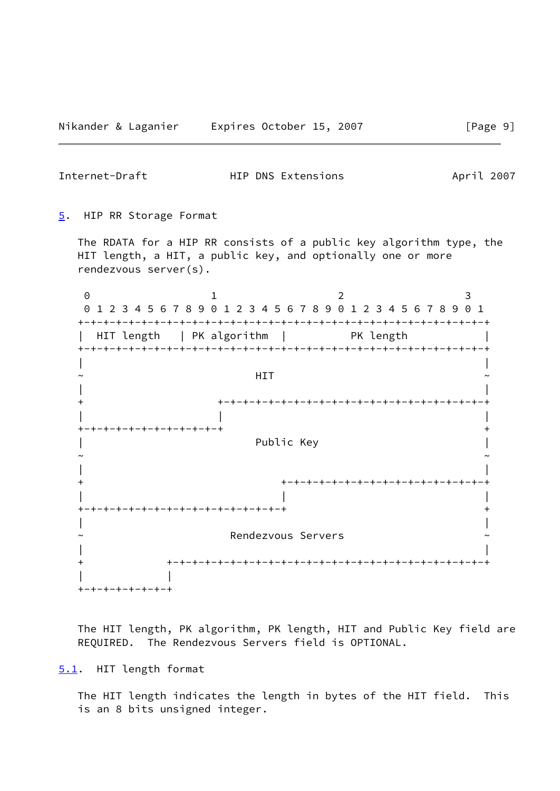<span id="page-10-1"></span>Internet-Draft **HIP DNS Extensions** April 2007

<span id="page-10-0"></span>[5](#page-10-0). HIP RR Storage Format

 The RDATA for a HIP RR consists of a public key algorithm type, the HIT length, a HIT, a public key, and optionally one or more rendezvous server(s).

0 1 2 3

 +-+-+-+-+-+-+-+-+-+-+-+-+-+-+-+-+ + | | Rendezvous Servers | | + +-+-+-+-+-+-+-+-+-+-+-+-+-+-+-+-+-+-+-+-+-+-+-+-+-+ | | +-+-+-+-+-+-+-+

 The HIT length, PK algorithm, PK length, HIT and Public Key field are REQUIRED. The Rendezvous Servers field is OPTIONAL.

<span id="page-10-2"></span>[5.1](#page-10-2). HIT length format

 The HIT length indicates the length in bytes of the HIT field. This is an 8 bits unsigned integer.

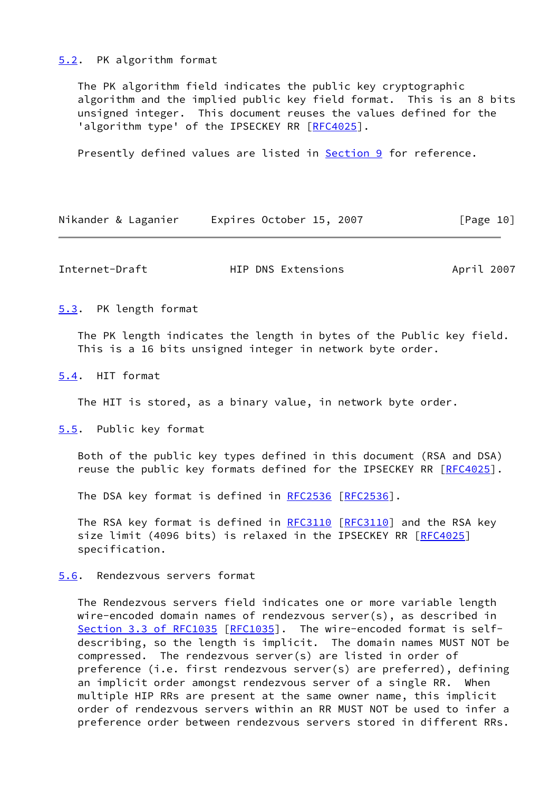#### <span id="page-11-0"></span>[5.2](#page-11-0). PK algorithm format

 The PK algorithm field indicates the public key cryptographic algorithm and the implied public key field format. This is an 8 bits unsigned integer. This document reuses the values defined for the 'algorithm type' of the IPSECKEY RR [\[RFC4025](https://datatracker.ietf.org/doc/pdf/rfc4025)].

Presently defined values are listed in [Section 9](#page-17-0) for reference.

| Nikander & Laganier | Expires October 15, 2007 | [Page 10] |
|---------------------|--------------------------|-----------|
|---------------------|--------------------------|-----------|

<span id="page-11-2"></span>Internet-Draft HIP DNS Extensions April 2007

<span id="page-11-1"></span>[5.3](#page-11-1). PK length format

 The PK length indicates the length in bytes of the Public key field. This is a 16 bits unsigned integer in network byte order.

<span id="page-11-3"></span>[5.4](#page-11-3). HIT format

The HIT is stored, as a binary value, in network byte order.

<span id="page-11-4"></span>[5.5](#page-11-4). Public key format

 Both of the public key types defined in this document (RSA and DSA) reuse the public key formats defined for the IPSECKEY RR [\[RFC4025](https://datatracker.ietf.org/doc/pdf/rfc4025)].

The DSA key format is defined in [RFC2536](https://datatracker.ietf.org/doc/pdf/rfc2536) [\[RFC2536](https://datatracker.ietf.org/doc/pdf/rfc2536)].

The RSA key format is defined in [RFC3110](https://datatracker.ietf.org/doc/pdf/rfc3110) [\[RFC3110](https://datatracker.ietf.org/doc/pdf/rfc3110)] and the RSA key size limit (4096 bits) is relaxed in the IPSECKEY RR [\[RFC4025](https://datatracker.ietf.org/doc/pdf/rfc4025)] specification.

<span id="page-11-5"></span>[5.6](#page-11-5). Rendezvous servers format

 The Rendezvous servers field indicates one or more variable length wire-encoded domain names of rendezvous server(s), as described in Section [3.3 of RFC1035](https://datatracker.ietf.org/doc/pdf/rfc1035#section-3.3) [\[RFC1035](https://datatracker.ietf.org/doc/pdf/rfc1035)]. The wire-encoded format is self describing, so the length is implicit. The domain names MUST NOT be compressed. The rendezvous server(s) are listed in order of preference (i.e. first rendezvous server(s) are preferred), defining an implicit order amongst rendezvous server of a single RR. When multiple HIP RRs are present at the same owner name, this implicit order of rendezvous servers within an RR MUST NOT be used to infer a preference order between rendezvous servers stored in different RRs.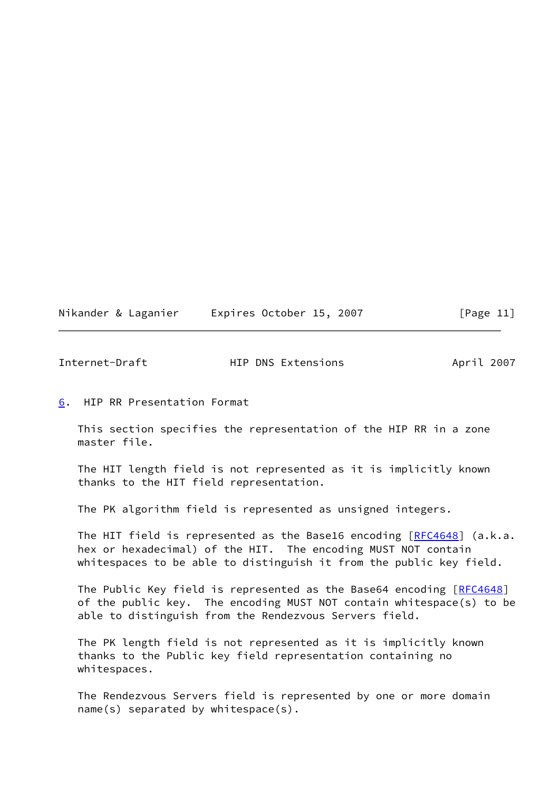|  | Nikander & Laganier | Expires October 15, 2007 |  | [Page 11] |  |
|--|---------------------|--------------------------|--|-----------|--|
|  |                     |                          |  |           |  |

<span id="page-12-1"></span>

| Internet-Draft | HIP DNS Extensions | April 2007 |
|----------------|--------------------|------------|
|                |                    |            |

<span id="page-12-0"></span>[6](#page-12-0). HIP RR Presentation Format

 This section specifies the representation of the HIP RR in a zone master file.

 The HIT length field is not represented as it is implicitly known thanks to the HIT field representation.

The PK algorithm field is represented as unsigned integers.

The HIT field is represented as the Base16 encoding [\[RFC4648](https://datatracker.ietf.org/doc/pdf/rfc4648)] (a.k.a. hex or hexadecimal) of the HIT. The encoding MUST NOT contain whitespaces to be able to distinguish it from the public key field.

The Public Key field is represented as the Base64 encoding [[RFC4648\]](https://datatracker.ietf.org/doc/pdf/rfc4648) of the public key. The encoding MUST NOT contain whitespace(s) to be able to distinguish from the Rendezvous Servers field.

 The PK length field is not represented as it is implicitly known thanks to the Public key field representation containing no whitespaces.

 The Rendezvous Servers field is represented by one or more domain name(s) separated by whitespace(s).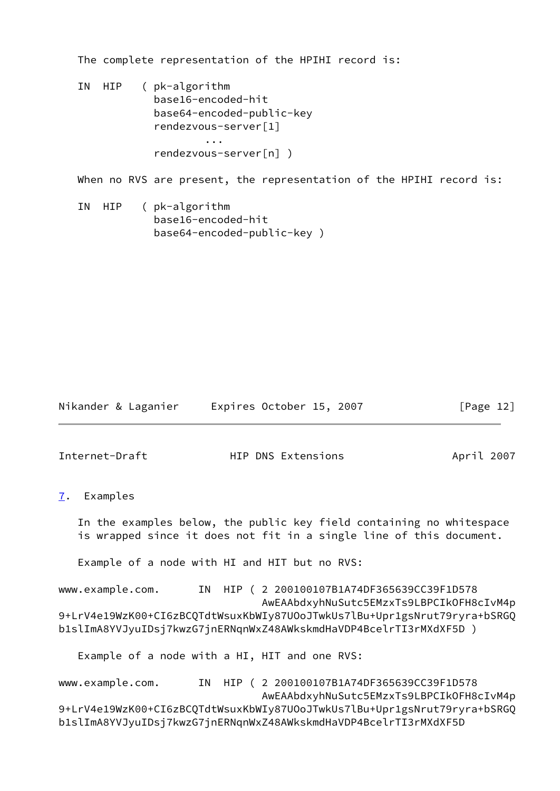The complete representation of the HPIHI record is:

 IN HIP ( pk-algorithm base16-encoded-hit base64-encoded-public-key rendezvous-server[1] ... rendezvous-server[n] )

When no RVS are present, the representation of the HPIHI record is:

 IN HIP ( pk-algorithm base16-encoded-hit base64-encoded-public-key )

| Nikander & Laganier |  | Expires October 15, 2007 |  |  | [Page 12] |  |
|---------------------|--|--------------------------|--|--|-----------|--|
|---------------------|--|--------------------------|--|--|-----------|--|

<span id="page-13-1"></span>Internet-Draft **HIP DNS Extensions** April 2007

<span id="page-13-0"></span>[7](#page-13-0). Examples

 In the examples below, the public key field containing no whitespace is wrapped since it does not fit in a single line of this document.

Example of a node with HI and HIT but no RVS:

www.example.com. IN HIP ( 2 200100107B1A74DF365639CC39F1D578 AwEAAbdxyhNuSutc5EMzxTs9LBPCIkOFH8cIvM4p 9+LrV4e19WzK00+CI6zBCQTdtWsuxKbWIy87UOoJTwkUs7lBu+Upr1gsNrut79ryra+bSRGQ b1slImA8YVJyuIDsj7kwzG7jnERNqnWxZ48AWkskmdHaVDP4BcelrTI3rMXdXF5D )

Example of a node with a HI, HIT and one RVS:

www.example.com. IN HIP ( 2 200100107B1A74DF365639CC39F1D578 AwEAAbdxyhNuSutc5EMzxTs9LBPCIkOFH8cIvM4p 9+LrV4e19WzK00+CI6zBCQTdtWsuxKbWIy87UOoJTwkUs7lBu+Upr1gsNrut79ryra+bSRGQ b1slImA8YVJyuIDsj7kwzG7jnERNqnWxZ48AWkskmdHaVDP4BcelrTI3rMXdXF5D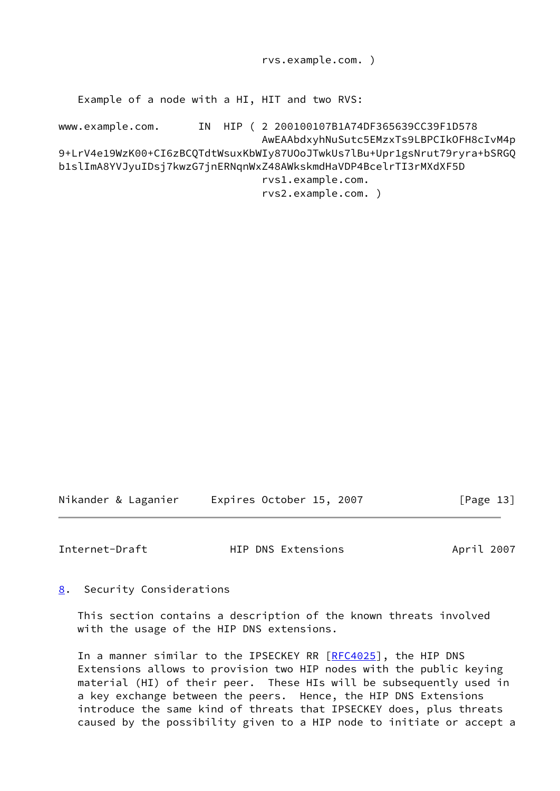rvs.example.com. )

Example of a node with a HI, HIT and two RVS:

www.example.com. IN HIP ( 2 200100107B1A74DF365639CC39F1D578 AwEAAbdxyhNuSutc5EMzxTs9LBPCIkOFH8cIvM4p 9+LrV4e19WzK00+CI6zBCQTdtWsuxKbWIy87UOoJTwkUs7lBu+Upr1gsNrut79ryra+bSRGQ b1slImA8YVJyuIDsj7kwzG7jnERNqnWxZ48AWkskmdHaVDP4BcelrTI3rMXdXF5D rvs1.example.com. rvs2.example.com. )

Nikander & Laganier Expires October 15, 2007 [Page 13]

<span id="page-14-1"></span>Internet-Draft **HIP DNS Extensions** April 2007

<span id="page-14-0"></span>[8](#page-14-0). Security Considerations

 This section contains a description of the known threats involved with the usage of the HIP DNS extensions.

In a manner similar to the IPSECKEY RR [\[RFC4025](https://datatracker.ietf.org/doc/pdf/rfc4025)], the HIP DNS Extensions allows to provision two HIP nodes with the public keying material (HI) of their peer. These HIs will be subsequently used in a key exchange between the peers. Hence, the HIP DNS Extensions introduce the same kind of threats that IPSECKEY does, plus threats caused by the possibility given to a HIP node to initiate or accept a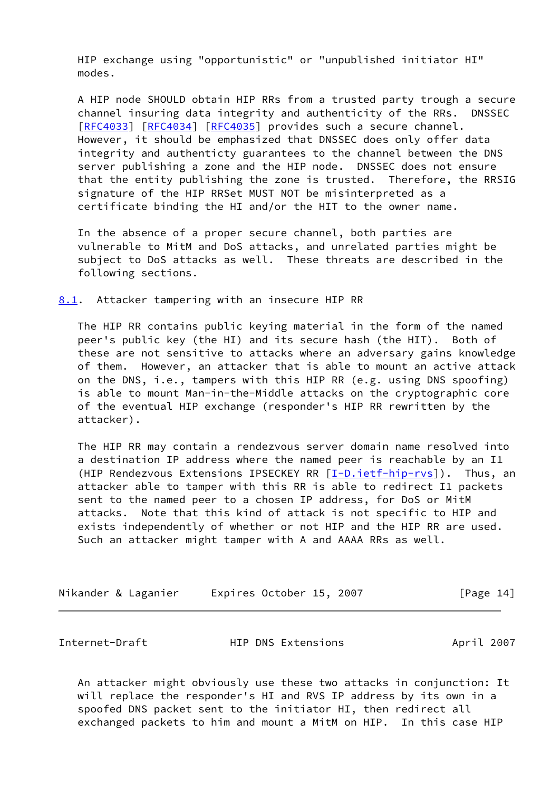HIP exchange using "opportunistic" or "unpublished initiator HI" modes.

 A HIP node SHOULD obtain HIP RRs from a trusted party trough a secure channel insuring data integrity and authenticity of the RRs. DNSSEC [\[RFC4033](https://datatracker.ietf.org/doc/pdf/rfc4033)] [[RFC4034](https://datatracker.ietf.org/doc/pdf/rfc4034)] [\[RFC4035](https://datatracker.ietf.org/doc/pdf/rfc4035)] provides such a secure channel. However, it should be emphasized that DNSSEC does only offer data integrity and authenticty guarantees to the channel between the DNS server publishing a zone and the HIP node. DNSSEC does not ensure that the entity publishing the zone is trusted. Therefore, the RRSIG signature of the HIP RRSet MUST NOT be misinterpreted as a certificate binding the HI and/or the HIT to the owner name.

 In the absence of a proper secure channel, both parties are vulnerable to MitM and DoS attacks, and unrelated parties might be subject to DoS attacks as well. These threats are described in the following sections.

<span id="page-15-0"></span>[8.1](#page-15-0). Attacker tampering with an insecure HIP RR

 The HIP RR contains public keying material in the form of the named peer's public key (the HI) and its secure hash (the HIT). Both of these are not sensitive to attacks where an adversary gains knowledge of them. However, an attacker that is able to mount an active attack on the DNS, i.e., tampers with this HIP RR (e.g. using DNS spoofing) is able to mount Man-in-the-Middle attacks on the cryptographic core of the eventual HIP exchange (responder's HIP RR rewritten by the attacker).

The HIP RR may contain a rendezvous server domain name resolved into a destination IP address where the named peer is reachable by an I1 (HIP Rendezvous Extensions IPSECKEY RR [\[I-D.ietf-hip-rvs](#page-20-3)]). Thus, an attacker able to tamper with this RR is able to redirect I1 packets sent to the named peer to a chosen IP address, for DoS or MitM attacks. Note that this kind of attack is not specific to HIP and exists independently of whether or not HIP and the HIP RR are used. Such an attacker might tamper with A and AAAA RRs as well.

| Nikander & Laganier |  |  | Expires October 15, 2007 |  |  | [Page 14] |  |
|---------------------|--|--|--------------------------|--|--|-----------|--|
|---------------------|--|--|--------------------------|--|--|-----------|--|

<span id="page-15-1"></span>Internet-Draft HIP DNS Extensions April 2007

 An attacker might obviously use these two attacks in conjunction: It will replace the responder's HI and RVS IP address by its own in a spoofed DNS packet sent to the initiator HI, then redirect all exchanged packets to him and mount a MitM on HIP. In this case HIP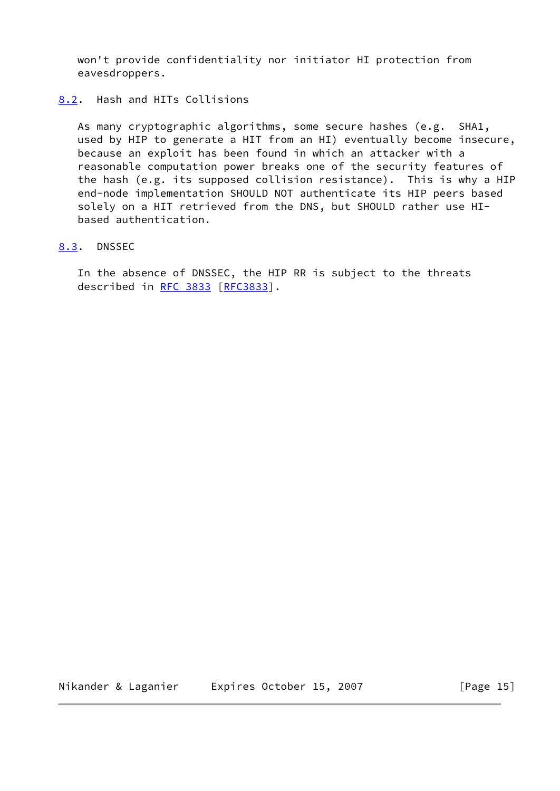won't provide confidentiality nor initiator HI protection from eavesdroppers.

## <span id="page-16-0"></span>[8.2](#page-16-0). Hash and HITs Collisions

 As many cryptographic algorithms, some secure hashes (e.g. SHA1, used by HIP to generate a HIT from an HI) eventually become insecure, because an exploit has been found in which an attacker with a reasonable computation power breaks one of the security features of the hash (e.g. its supposed collision resistance). This is why a HIP end-node implementation SHOULD NOT authenticate its HIP peers based solely on a HIT retrieved from the DNS, but SHOULD rather use HI based authentication.

## <span id="page-16-1"></span>[8.3](#page-16-1). DNSSEC

 In the absence of DNSSEC, the HIP RR is subject to the threats described in [RFC 3833](https://datatracker.ietf.org/doc/pdf/rfc3833) [[RFC3833](https://datatracker.ietf.org/doc/pdf/rfc3833)].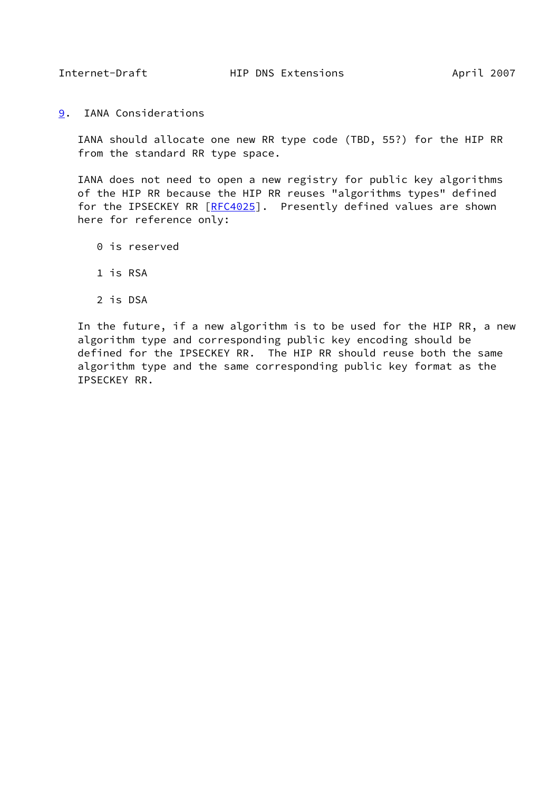<span id="page-17-1"></span>

<span id="page-17-0"></span>[9](#page-17-0). IANA Considerations

 IANA should allocate one new RR type code (TBD, 55?) for the HIP RR from the standard RR type space.

 IANA does not need to open a new registry for public key algorithms of the HIP RR because the HIP RR reuses "algorithms types" defined for the IPSECKEY RR [\[RFC4025](https://datatracker.ietf.org/doc/pdf/rfc4025)]. Presently defined values are shown here for reference only:

- 0 is reserved
- 1 is RSA
- 2 is DSA

 In the future, if a new algorithm is to be used for the HIP RR, a new algorithm type and corresponding public key encoding should be defined for the IPSECKEY RR. The HIP RR should reuse both the same algorithm type and the same corresponding public key format as the IPSECKEY RR.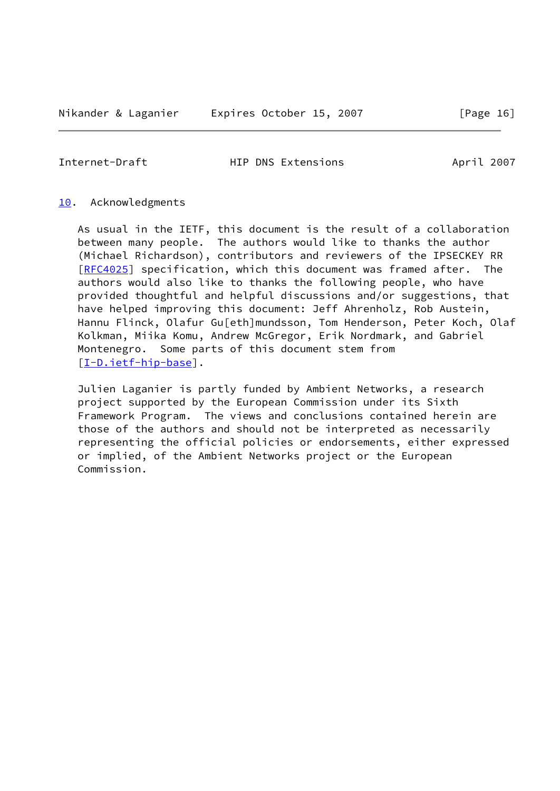Nikander & Laganier Expires October 15, 2007 [Page 16]

<span id="page-18-1"></span>Internet-Draft **HIP DNS Extensions** April 2007

#### <span id="page-18-0"></span>[10.](#page-18-0) Acknowledgments

 As usual in the IETF, this document is the result of a collaboration between many people. The authors would like to thanks the author (Michael Richardson), contributors and reviewers of the IPSECKEY RR [\[RFC4025](https://datatracker.ietf.org/doc/pdf/rfc4025)] specification, which this document was framed after. The authors would also like to thanks the following people, who have provided thoughtful and helpful discussions and/or suggestions, that have helped improving this document: Jeff Ahrenholz, Rob Austein, Hannu Flinck, Olafur Gu[eth]mundsson, Tom Henderson, Peter Koch, Olaf Kolkman, Miika Komu, Andrew McGregor, Erik Nordmark, and Gabriel Montenegro. Some parts of this document stem from [\[I-D.ietf-hip-base](#page-20-2)].

 Julien Laganier is partly funded by Ambient Networks, a research project supported by the European Commission under its Sixth Framework Program. The views and conclusions contained herein are those of the authors and should not be interpreted as necessarily representing the official policies or endorsements, either expressed or implied, of the Ambient Networks project or the European Commission.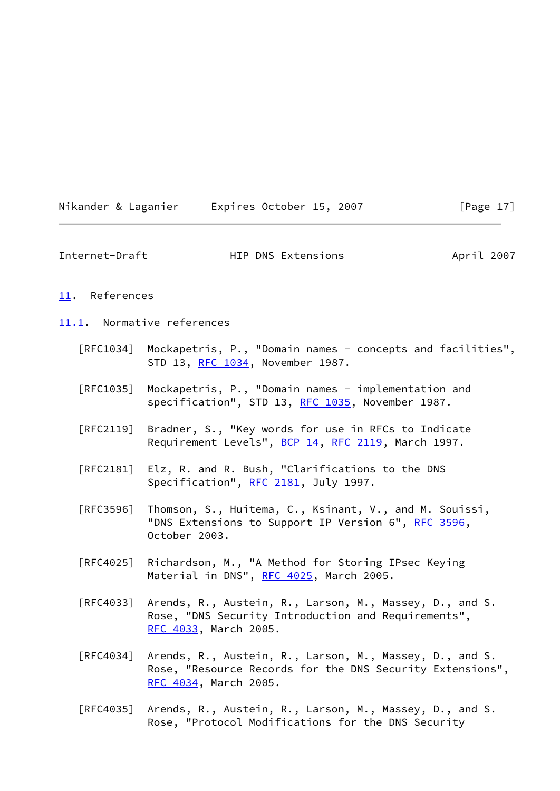| Nikander & Laganier |  | Expires October 15, 2007 |  | [Page $17$ ] |  |
|---------------------|--|--------------------------|--|--------------|--|
|                     |  |                          |  |              |  |

<span id="page-19-1"></span>

| Internet-Draft | HIP DNS Extensions | April 2007 |
|----------------|--------------------|------------|
|----------------|--------------------|------------|

#### <span id="page-19-0"></span>[11.](#page-19-0) References

<span id="page-19-2"></span>[11.1](#page-19-2). Normative references

- [RFC1034] Mockapetris, P., "Domain names concepts and facilities", STD 13, [RFC 1034,](https://datatracker.ietf.org/doc/pdf/rfc1034) November 1987.
- [RFC1035] Mockapetris, P., "Domain names implementation and specification", STD 13, [RFC 1035,](https://datatracker.ietf.org/doc/pdf/rfc1035) November 1987.
- [RFC2119] Bradner, S., "Key words for use in RFCs to Indicate Requirement Levels", [BCP 14](https://datatracker.ietf.org/doc/pdf/bcp14), [RFC 2119](https://datatracker.ietf.org/doc/pdf/rfc2119), March 1997.
- [RFC2181] Elz, R. and R. Bush, "Clarifications to the DNS Specification", [RFC 2181,](https://datatracker.ietf.org/doc/pdf/rfc2181) July 1997.
- [RFC3596] Thomson, S., Huitema, C., Ksinant, V., and M. Souissi, "DNS Extensions to Support IP Version 6", [RFC 3596](https://datatracker.ietf.org/doc/pdf/rfc3596), October 2003.
- [RFC4025] Richardson, M., "A Method for Storing IPsec Keying Material in DNS", [RFC 4025](https://datatracker.ietf.org/doc/pdf/rfc4025), March 2005.
- [RFC4033] Arends, R., Austein, R., Larson, M., Massey, D., and S. Rose, "DNS Security Introduction and Requirements", [RFC 4033,](https://datatracker.ietf.org/doc/pdf/rfc4033) March 2005.
- [RFC4034] Arends, R., Austein, R., Larson, M., Massey, D., and S. Rose, "Resource Records for the DNS Security Extensions", [RFC 4034,](https://datatracker.ietf.org/doc/pdf/rfc4034) March 2005.
- [RFC4035] Arends, R., Austein, R., Larson, M., Massey, D., and S. Rose, "Protocol Modifications for the DNS Security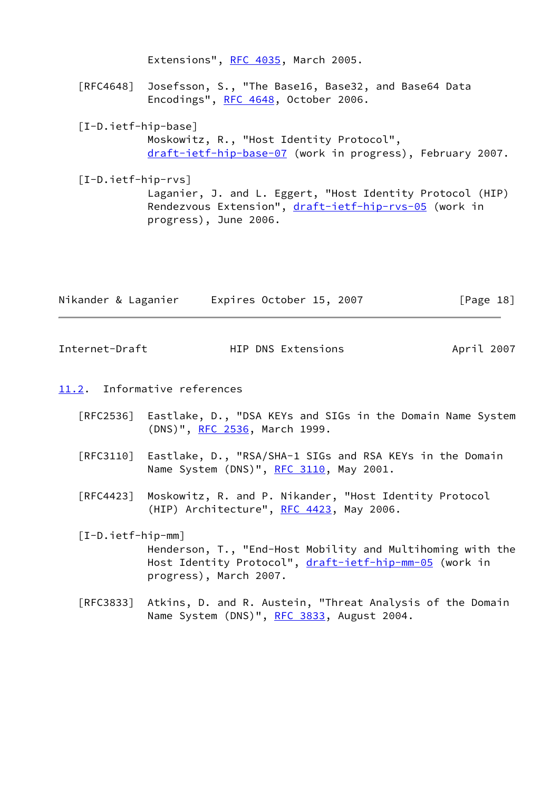<span id="page-20-3"></span><span id="page-20-2"></span>Extensions", [RFC 4035](https://datatracker.ietf.org/doc/pdf/rfc4035), March 2005. [RFC4648] Josefsson, S., "The Base16, Base32, and Base64 Data Encodings", [RFC 4648,](https://datatracker.ietf.org/doc/pdf/rfc4648) October 2006. [I-D.ietf-hip-base] Moskowitz, R., "Host Identity Protocol", [draft-ietf-hip-base-07](https://datatracker.ietf.org/doc/pdf/draft-ietf-hip-base-07) (work in progress), February 2007. [I-D.ietf-hip-rvs] Laganier, J. and L. Eggert, "Host Identity Protocol (HIP) Rendezvous Extension", [draft-ietf-hip-rvs-05](https://datatracker.ietf.org/doc/pdf/draft-ietf-hip-rvs-05) (work in progress), June 2006.

|  | Nikander & Laganier | Expires October 15, 2007 |  | [Page 18] |  |
|--|---------------------|--------------------------|--|-----------|--|
|  |                     |                          |  |           |  |

<span id="page-20-1"></span>Internet-Draft **HIP DNS Extensions** April 2007

- <span id="page-20-0"></span>[11.2](#page-20-0). Informative references
	- [RFC2536] Eastlake, D., "DSA KEYs and SIGs in the Domain Name System (DNS)", [RFC 2536,](https://datatracker.ietf.org/doc/pdf/rfc2536) March 1999.
	- [RFC3110] Eastlake, D., "RSA/SHA-1 SIGs and RSA KEYs in the Domain Name System (DNS)", [RFC 3110,](https://datatracker.ietf.org/doc/pdf/rfc3110) May 2001.
	- [RFC4423] Moskowitz, R. and P. Nikander, "Host Identity Protocol (HIP) Architecture", [RFC 4423](https://datatracker.ietf.org/doc/pdf/rfc4423), May 2006.

# <span id="page-20-4"></span> [I-D.ietf-hip-mm] Henderson, T., "End-Host Mobility and Multihoming with the Host Identity Protocol", [draft-ietf-hip-mm-05](https://datatracker.ietf.org/doc/pdf/draft-ietf-hip-mm-05) (work in progress), March 2007.

 [RFC3833] Atkins, D. and R. Austein, "Threat Analysis of the Domain Name System (DNS)", [RFC 3833,](https://datatracker.ietf.org/doc/pdf/rfc3833) August 2004.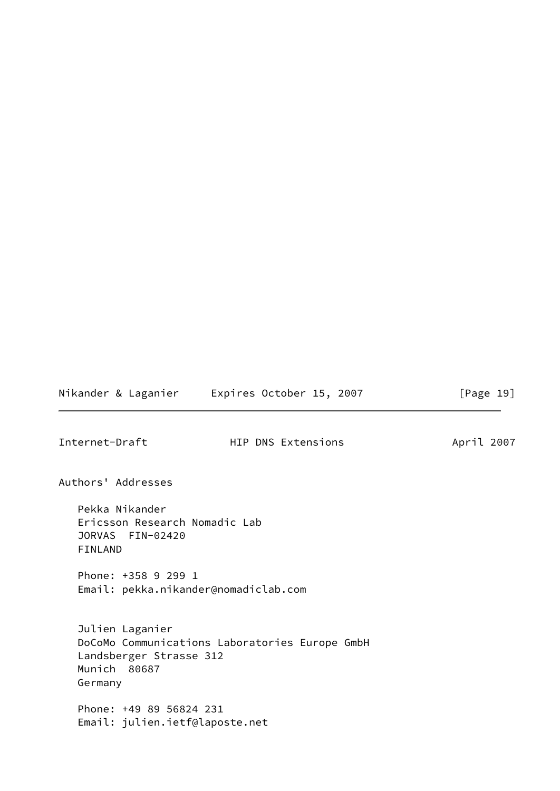# Nikander & Laganier Expires October 15, 2007 [Page 19]

<span id="page-21-0"></span>Internet-Draft **HIP DNS Extensions** April 2007

Authors' Addresses

 Pekka Nikander Ericsson Research Nomadic Lab JORVAS FIN-02420 FINLAND

 Phone: +358 9 299 1 Email: pekka.nikander@nomadiclab.com

 Julien Laganier DoCoMo Communications Laboratories Europe GmbH Landsberger Strasse 312 Munich 80687 Germany

 Phone: +49 89 56824 231 Email: julien.ietf@laposte.net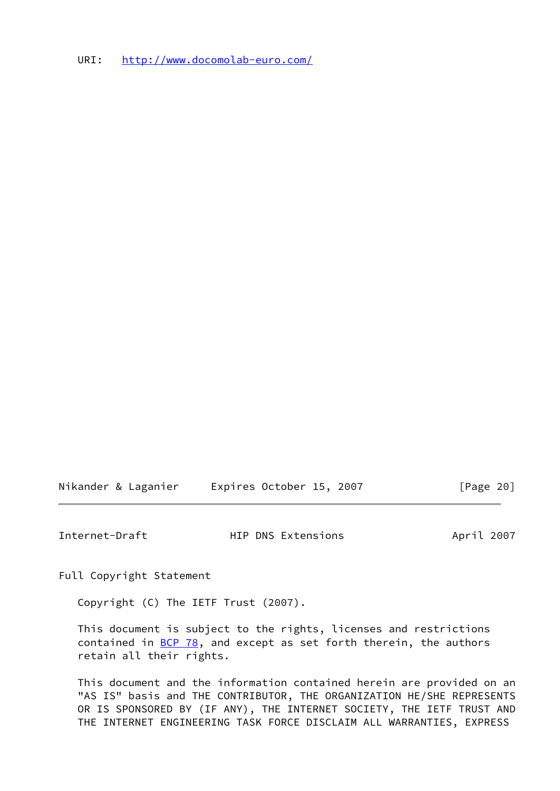URI: <http://www.docomolab-euro.com/>

Nikander & Laganier Expires October 15, 2007 [Page 20]

<span id="page-22-0"></span>Internet-Draft **HIP DNS Extensions** April 2007

Full Copyright Statement

Copyright (C) The IETF Trust (2007).

 This document is subject to the rights, licenses and restrictions contained in  $\underline{BCP}$  78, and except as set forth therein, the authors retain all their rights.

 This document and the information contained herein are provided on an "AS IS" basis and THE CONTRIBUTOR, THE ORGANIZATION HE/SHE REPRESENTS OR IS SPONSORED BY (IF ANY), THE INTERNET SOCIETY, THE IETF TRUST AND THE INTERNET ENGINEERING TASK FORCE DISCLAIM ALL WARRANTIES, EXPRESS